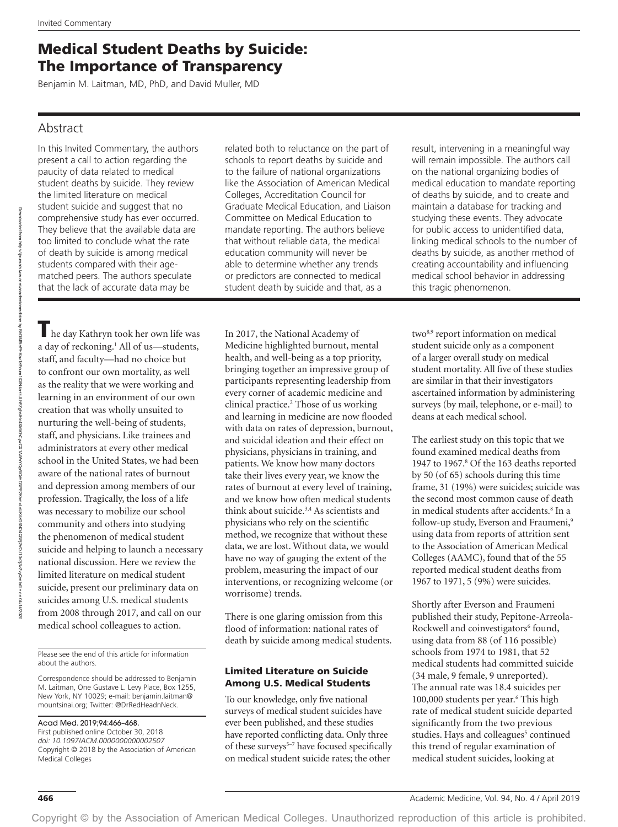# Medical Student Deaths by Suicide: The Importance of Transparency

Benjamin M. Laitman, MD, PhD, and David Muller, MD

## Abstract

In this Invited Commentary, the authors present a call to action regarding the paucity of data related to medical student deaths by suicide. They review the limited literature on medical student suicide and suggest that no comprehensive study has ever occurred. They believe that the available data are too limited to conclude what the rate of death by suicide is among medical students compared with their agematched peers. The authors speculate that the lack of accurate data may be

The day Kathryn took her own life was a day of reckoning.<sup>1</sup> All of us—students, staff, and faculty—had no choice but to confront our own mortality, as well as the reality that we were working and learning in an environment of our own creation that was wholly unsuited to nurturing the well-being of students, staff, and physicians. Like trainees and administrators at every other medical school in the United States, we had been aware of the national rates of burnout and depression among members of our profession. Tragically, the loss of a life was necessary to mobilize our school community and others into studying the phenomenon of medical student suicide and helping to launch a necessary national discussion. Here we review the limited literature on medical student suicide, present our preliminary data on suicides among U.S. medical students from 2008 through 2017, and call on our medical school colleagues to action.

Please see the end of this article for information about the authors.

Correspondence should be addressed to Benjamin M. Laitman, One Gustave L. Levy Place, Box 1255, New York, NY 10029; e-mail: [benjamin.laitman@](mailto:benjamin.laitman@mountsinai.org) [mountsinai.org](mailto:benjamin.laitman@mountsinai.org); Twitter: @DrRedHeadnNeck.

#### Acad Med. 2019;94:466–468.

First published online October 30, 2018 *doi: 10.1097/ACM.0000000000002507* Copyright © 2018 by the Association of American Medical Colleges

related both to reluctance on the part of schools to report deaths by suicide and to the failure of national organizations like the Association of American Medical Colleges, Accreditation Council for Graduate Medical Education, and Liaison Committee on Medical Education to mandate reporting. The authors believe that without reliable data, the medical education community will never be able to determine whether any trends or predictors are connected to medical student death by suicide and that, as a

In 2017, the National Academy of Medicine highlighted burnout, mental health, and well-being as a top priority, bringing together an impressive group of participants representing leadership from every corner of academic medicine and clinical practice.2 Those of us working and learning in medicine are now flooded with data on rates of depression, burnout, and suicidal ideation and their effect on physicians, physicians in training, and patients. We know how many doctors take their lives every year, we know the rates of burnout at every level of training, and we know how often medical students think about suicide.3,4 As scientists and physicians who rely on the scientific method, we recognize that without these data, we are lost. Without data, we would have no way of gauging the extent of the problem, measuring the impact of our interventions, or recognizing welcome (or worrisome) trends.

There is one glaring omission from this flood of information: national rates of death by suicide among medical students.

#### Limited Literature on Suicide Among U.S. Medical Students

To our knowledge, only five national surveys of medical student suicides have ever been published, and these studies have reported conflicting data. Only three of these surveys<sup>5-7</sup> have focused specifically on medical student suicide rates; the other

result, intervening in a meaningful way will remain impossible. The authors call on the national organizing bodies of medical education to mandate reporting of deaths by suicide, and to create and maintain a database for tracking and studying these events. They advocate for public access to unidentified data, linking medical schools to the number of deaths by suicide, as another method of creating accountability and influencing medical school behavior in addressing this tragic phenomenon.

two<sup>8,9</sup> report information on medical student suicide only as a component of a larger overall study on medical student mortality. All five of these studies are similar in that their investigators ascertained information by administering surveys (by mail, telephone, or e-mail) to deans at each medical school.

The earliest study on this topic that we found examined medical deaths from 1947 to 1967.8 Of the 163 deaths reported by 50 (of 65) schools during this time frame, 31 (19%) were suicides; suicide was the second most common cause of death in medical students after accidents.8 In a follow-up study, Everson and Fraumeni,<sup>9</sup> using data from reports of attrition sent to the Association of American Medical Colleges (AAMC), found that of the 55 reported medical student deaths from 1967 to 1971, 5 (9%) were suicides.

Shortly after Everson and Fraumeni published their study, Pepitone-Arreola-Rockwell and coinvestigators<sup>6</sup> found, using data from 88 (of 116 possible) schools from 1974 to 1981, that 52 medical students had committed suicide (34 male, 9 female, 9 unreported). The annual rate was 18.4 suicides per 100,000 students per year.<sup>6</sup> This high rate of medical student suicide departed significantly from the two previous studies. Hays and colleagues<sup>5</sup> continued this trend of regular examination of medical student suicides, looking at

on 04/14/2020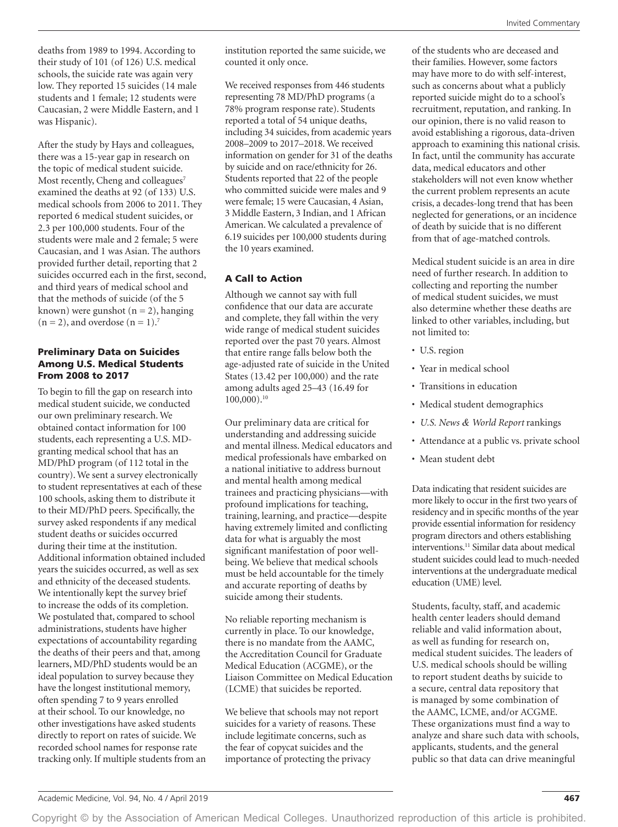deaths from 1989 to 1994. According to their study of 101 (of 126) U.S. medical schools, the suicide rate was again very low. They reported 15 suicides (14 male students and 1 female; 12 students were Caucasian, 2 were Middle Eastern, and 1 was Hispanic).

After the study by Hays and colleagues, there was a 15-year gap in research on the topic of medical student suicide. Most recently, Cheng and colleagues<sup>7</sup> examined the deaths at 92 (of 133) U.S. medical schools from 2006 to 2011. They reported 6 medical student suicides, or 2.3 per 100,000 students. Four of the students were male and 2 female; 5 were Caucasian, and 1 was Asian. The authors provided further detail, reporting that 2 suicides occurred each in the first, second, and third years of medical school and that the methods of suicide (of the 5 known) were gunshot  $(n = 2)$ , hanging  $(n = 2)$ , and overdose  $(n = 1)$ .<sup>7</sup>

#### Preliminary Data on Suicides Among U.S. Medical Students From 2008 to 2017

To begin to fill the gap on research into medical student suicide, we conducted our own preliminary research. We obtained contact information for 100 students, each representing a U.S. MDgranting medical school that has an MD/PhD program (of 112 total in the country). We sent a survey electronically to student representatives at each of these 100 schools, asking them to distribute it to their MD/PhD peers. Specifically, the survey asked respondents if any medical student deaths or suicides occurred during their time at the institution. Additional information obtained included years the suicides occurred, as well as sex and ethnicity of the deceased students. We intentionally kept the survey brief to increase the odds of its completion. We postulated that, compared to school administrations, students have higher expectations of accountability regarding the deaths of their peers and that, among learners, MD/PhD students would be an ideal population to survey because they have the longest institutional memory, often spending 7 to 9 years enrolled at their school. To our knowledge, no other investigations have asked students directly to report on rates of suicide. We recorded school names for response rate tracking only. If multiple students from an institution reported the same suicide, we counted it only once.

We received responses from 446 students representing 78 MD/PhD programs (a 78% program response rate). Students reported a total of 54 unique deaths, including 34 suicides, from academic years 2008–2009 to 2017–2018. We received information on gender for 31 of the deaths by suicide and on race/ethnicity for 26. Students reported that 22 of the people who committed suicide were males and 9 were female; 15 were Caucasian, 4 Asian, 3 Middle Eastern, 3 Indian, and 1 African American. We calculated a prevalence of 6.19 suicides per 100,000 students during the 10 years examined.

### A Call to Action

Although we cannot say with full confidence that our data are accurate and complete, they fall within the very wide range of medical student suicides reported over the past 70 years. Almost that entire range falls below both the age-adjusted rate of suicide in the United States (13.42 per 100,000) and the rate among adults aged 25–43 (16.49 for 100,000).10

Our preliminary data are critical for understanding and addressing suicide and mental illness. Medical educators and medical professionals have embarked on a national initiative to address burnout and mental health among medical trainees and practicing physicians—with profound implications for teaching, training, learning, and practice—despite having extremely limited and conflicting data for what is arguably the most significant manifestation of poor wellbeing. We believe that medical schools must be held accountable for the timely and accurate reporting of deaths by suicide among their students.

No reliable reporting mechanism is currently in place. To our knowledge, there is no mandate from the AAMC, the Accreditation Council for Graduate Medical Education (ACGME), or the Liaison Committee on Medical Education (LCME) that suicides be reported.

We believe that schools may not report suicides for a variety of reasons. These include legitimate concerns, such as the fear of copycat suicides and the importance of protecting the privacy

of the students who are deceased and their families. However, some factors may have more to do with self-interest, such as concerns about what a publicly reported suicide might do to a school's recruitment, reputation, and ranking. In our opinion, there is no valid reason to avoid establishing a rigorous, data-driven approach to examining this national crisis. In fact, until the community has accurate data, medical educators and other stakeholders will not even know whether the current problem represents an acute crisis, a decades-long trend that has been neglected for generations, or an incidence of death by suicide that is no different from that of age-matched controls.

Medical student suicide is an area in dire need of further research. In addition to collecting and reporting the number of medical student suicides, we must also determine whether these deaths are linked to other variables, including, but not limited to:

- U.S. region
- Year in medical school
- Transitions in education
- Medical student demographics
- *U.S. News & World Report* rankings
- Attendance at a public vs. private school
- Mean student debt

Data indicating that resident suicides are more likely to occur in the first two years of residency and in specific months of the year provide essential information for residency program directors and others establishing interventions.11 Similar data about medical student suicides could lead to much-needed interventions at the undergraduate medical education (UME) level.

Students, faculty, staff, and academic health center leaders should demand reliable and valid information about, as well as funding for research on, medical student suicides. The leaders of U.S. medical schools should be willing to report student deaths by suicide to a secure, central data repository that is managed by some combination of the AAMC, LCME, and/or ACGME. These organizations must find a way to analyze and share such data with schools, applicants, students, and the general public so that data can drive meaningful

Copyright © by the Association of American Medical Colleges. Unauthorized reproduction of this article is prohibited.